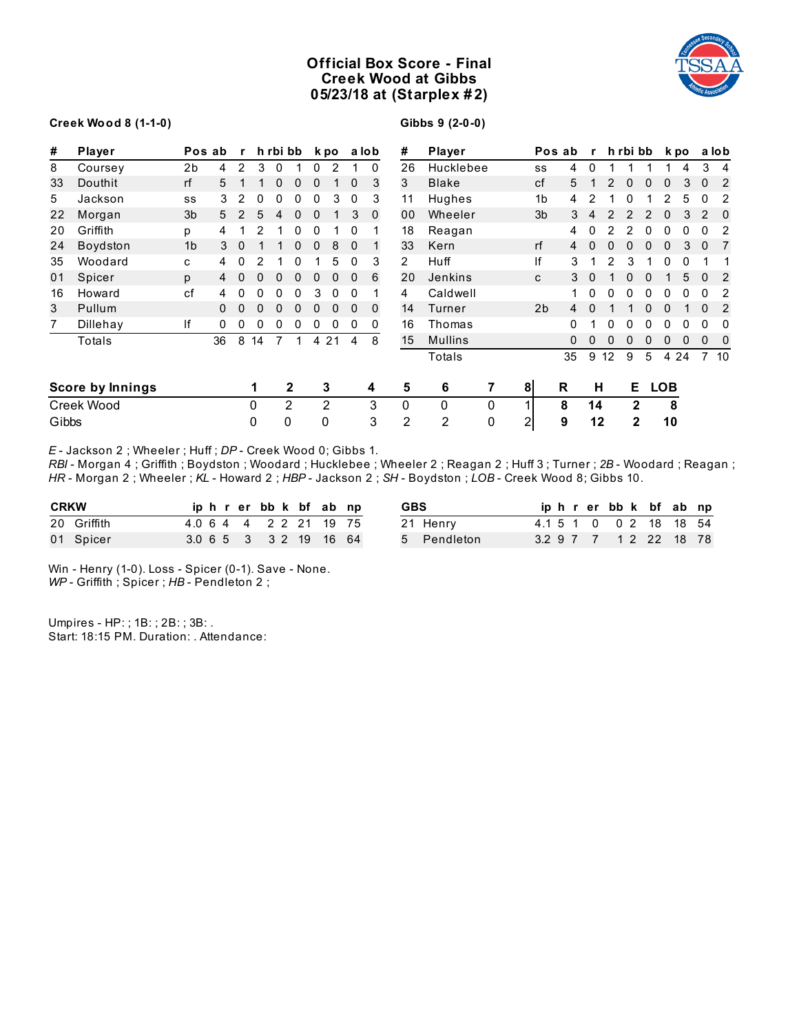# **Official Box Score - Final Creek Wood at Gibbs 05/23/18 at (Starplex # 2)**



### **Creek Wood 8 (1-1-0)**

**Gibbs 9 (2-0-0)**

| #     | Player                  | Pos ab         |    | $\mathbf{r}$   |    | h rbi bb       |             |          | k po  |              | a lob        | #              | Player         |   |                | Pos ab | $\mathbf{r}$ |    | h rbi bb     |              |             | k po        |              | a lob           |
|-------|-------------------------|----------------|----|----------------|----|----------------|-------------|----------|-------|--------------|--------------|----------------|----------------|---|----------------|--------|--------------|----|--------------|--------------|-------------|-------------|--------------|-----------------|
| 8     | Coursey                 | 2b             | 4  | $\overline{2}$ | 3  | $\overline{0}$ |             | $\Omega$ | 2     | 1            | $\Omega$     | 26             | Hucklebee      |   | SS             | 4      | 0            |    |              |              |             | 4           |              | 3 <sub>4</sub>  |
| 33    | Douthit                 | rf             | 5  |                |    | $\mathbf 0$    | 0           | 0        |       | 0            | 3            | 3              | <b>Blake</b>   |   | cf             | 5      |              | 2  | 0            | 0            | 0           | 3           | $\mathbf{0}$ | 2               |
| 5     | Jackson                 | SS             | 3  | 2              | 0  | 0              | 0           | 0        | 3     | 0            | 3            | 11             | Hughes         |   | 1b             | 4      | 2            |    | 0            |              | 2           | 5           | 0            | 2               |
| 22    | Morgan                  | 3 <sub>b</sub> | 5  | 2              | 5  | 4              | $\mathbf 0$ | 0        |       | 3            | $\mathbf{0}$ | 00             | Wheeler        |   | 3 <sub>b</sub> | 3      | 4            | 2  | 2            | 2            | $\mathbf 0$ | 3           | 2            | - 0             |
| 20    | Griffith                | p              | 4  |                | 2  |                | 0           | 0        |       | 0            |              | 18             | Reagan         |   |                | 4      | 0            |    | 2            | 0            | 0           | 0           | 0            | 2               |
| 24    | Boydston                | 1 <sub>b</sub> | 3  | $\mathbf{0}$   |    |                | $\mathbf 0$ | 0        | 8     | $\mathbf 0$  |              | 33             | Kern           |   | rf             | 4      | $\mathbf 0$  | 0  | 0            | $\mathbf{0}$ | $\Omega$    | 3           | $\mathbf{0}$ | -7              |
| 35    | Woodard                 | C              | 4  | 0              | 2  |                | 0           |          | 5     | 0            | 3            | $\overline{2}$ | Huff           |   | lf             | 3      |              | 2  | 3            |              | 0           | 0           |              |                 |
| 01    | Spicer                  | p              | 4  | 0              | 0  | $\mathbf 0$    | 0           | 0        | 0     | $\mathbf{0}$ | 6            | 20             | Jenkins        |   | C              | 3      | $\mathbf 0$  |    | 0            | $\mathbf{0}$ |             | 5           | $\Omega$     | $\overline{2}$  |
| 16    | Howard                  | cf             | 4  | 0              | 0  | 0              | 0           | 3        | 0     | 0            |              | 4              | Caldwell       |   |                | 1      | 0            | 0  | 0            | 0            | 0           | 0           | $\mathbf{0}$ | 2               |
| 3     | Pullum                  |                |    | 0              | 0  | $\mathbf 0$    | $\Omega$    | $\Omega$ | 0     | $\mathbf 0$  | $\mathbf{0}$ | 14             | Turner         |   | 2b             | 4      | 0            |    |              | 0            | $\Omega$    |             | $\mathbf{0}$ | 2               |
| 7     | Dillehay                | lf             | 0  | 0              | 0  | 0              | 0           | 0        | 0     | 0            | 0            | 16             | Thomas         |   |                | 0      |              | 0  | 0            | 0            | 0           | 0           | 0            | 0               |
|       | Totals                  |                | 36 | 8              | 14 | $\overline{7}$ | $\mathbf 1$ |          | 4 2 1 | 4            | 8            | 15             | <b>Mullins</b> |   |                | 0      | 0            | 0  | 0            | 0            | 0           | $\mathbf 0$ | $\mathbf{0}$ | 0               |
|       |                         |                |    |                |    |                |             |          |       |              |              |                | Totals         |   |                | 35     | 9            | 12 | 9            | 5            |             | 4 2 4       |              | 7 <sub>10</sub> |
|       | <b>Score by Innings</b> |                |    |                | 1  |                | 2           |          | 3     |              | 4            | 5              | 6              | 7 | 8 <sup>1</sup> | R      | н            |    | Е.           |              | <b>LOB</b>  |             |              |                 |
|       | Creek Wood              |                |    |                | 0  |                | 2           |          | 2     |              | 3            | $\mathbf{0}$   | $\mathbf{0}$   | 0 | 1 <sub>1</sub> | 8      | 14           |    | $\mathbf{2}$ |              | 8           |             |              |                 |
| Gibbs |                         |                |    |                | 0  |                | 0           | 0        |       |              | 3            | 2              | 2              | 0 | $\mathbf{2}$   | 9      | 12           |    | 2            |              | 10          |             |              |                 |

*E* - Jackson 2 ; Wheeler ; Huff ; *DP* - Creek Wood 0; Gibbs 1.

*RBI* - Morgan 4 ; Griffith ; Boydston ; Woodard ; Hucklebee ; Wheeler 2 ; Reagan 2 ; Huff 3 ; Turner ; *2B* - Woodard ; Reagan ; *HR* - Morgan 2 ; Wheeler ; *KL* - Howard 2 ; *HBP* - Jackson 2 ; *SH* - Boydston ; *LOB* - Creek Wood 8; Gibbs 10.

| <b>CRKW</b> | iphrerbbk bfabnp       |  |  | <b>GBS</b>  |  |  | iphrerbbk bfabnp        |  |  |
|-------------|------------------------|--|--|-------------|--|--|-------------------------|--|--|
| 20 Griffith | 4.0 6 4 4 2 2 21 19 75 |  |  | 21 Henry    |  |  | 4.1 5 1 0 0 2 18 18 54  |  |  |
| 01 Spicer   | 3.0 6 5 3 3 2 19 16 64 |  |  | 5 Pendleton |  |  | 3.2 9 7 7 1 2 2 2 18 78 |  |  |

Win - Henry (1-0). Loss - Spicer (0-1). Save - None. *WP* - Griffith ; Spicer ; *HB* - Pendleton 2 ;

Umpires - HP: ; 1B: ; 2B: ; 3B: . Start: 18:15 PM. Duration: . Attendance: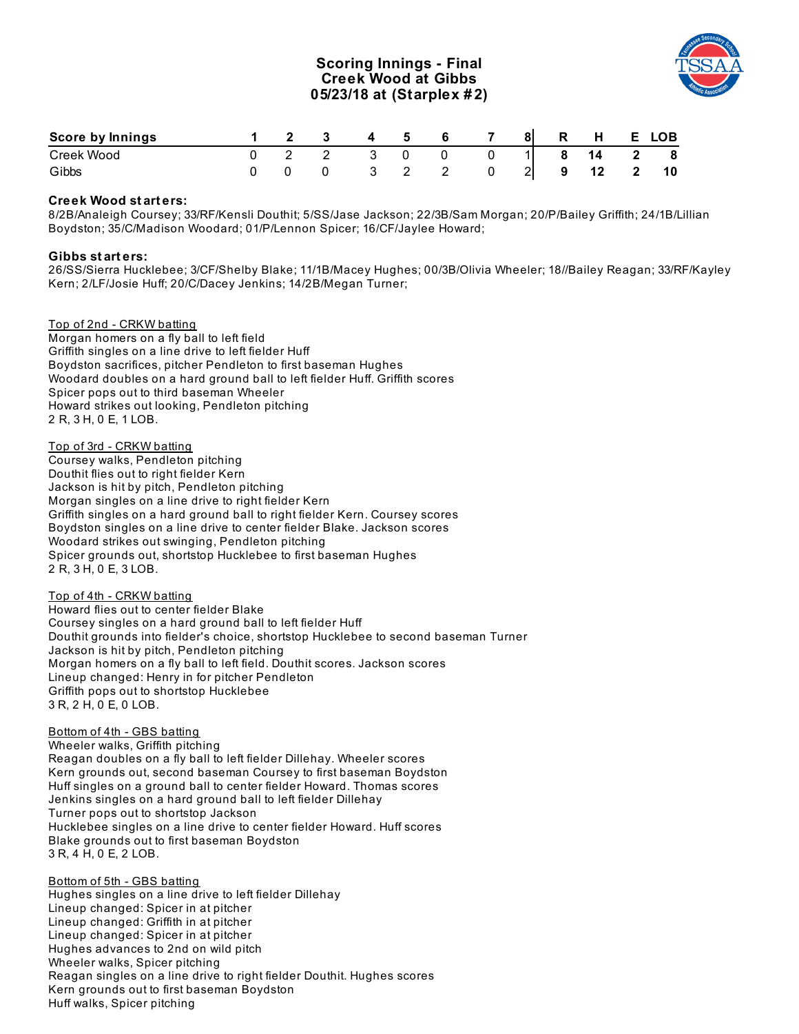## **Scoring Innings - Final Creek Wood at Gibbs 05/23/18 at (Starplex # 2)**



| Score by Innings |  | 45                      | 6 — | $\overline{7}$ |  | 8 R H E LOB |    |
|------------------|--|-------------------------|-----|----------------|--|-------------|----|
| Creek Wood       |  | $\overline{\mathbf{3}}$ |     |                |  | 1 8 14 2 8  |    |
| Gibbs            |  |                         |     |                |  | 0 2 9 12 2  | 10 |

## **Creek Wood st art ers:**

8/2B/Analeigh Coursey; 33/RF/Kensli Douthit; 5/SS/Jase Jackson; 22/3B/Sam Morgan; 20/P/Bailey Griffith; 24/1B/Lillian Boydston; 35/C/Madison Woodard; 01/P/Lennon Spicer; 16/CF/Jaylee Howard;

#### **Gibbs st art ers:**

26/SS/Sierra Hucklebee; 3/CF/Shelby Blake; 11/1B/Macey Hughes; 00/3B/Olivia Wheeler; 18//Bailey Reagan; 33/RF/Kayley Kern; 2/LF/Josie Huff; 20/C/Dacey Jenkins; 14/2B/Megan Turner;

Top of 2nd - CRKW batting Morgan homers on a fly ball to left field Griffith singles on a line drive to left fielder Huff Boydston sacrifices, pitcher Pendleton to first baseman Hughes Woodard doubles on a hard ground ball to left fielder Huff. Griffith scores Spicer pops out to third baseman Wheeler Howard strikes out looking, Pendleton pitching 2 R, 3 H, 0 E, 1 LOB.

Top of 3rd - CRKW batting Coursey walks, Pendleton pitching Douthit flies out to right fielder Kern Jackson is hit by pitch, Pendleton pitching Morgan singles on a line drive to right fielder Kern Griffith singles on a hard ground ball to right fielder Kern. Coursey scores Boydston singles on a line drive to center fielder Blake. Jackson scores Woodard strikes out swinging, Pendleton pitching Spicer grounds out, shortstop Hucklebee to first baseman Hughes 2 R, 3 H, 0 E, 3 LOB.

Top of 4th - CRKW batting Howard flies out to center fielder Blake Coursey singles on a hard ground ball to left fielder Huff Douthit grounds into fielder's choice, shortstop Hucklebee to second baseman Turner Jackson is hit by pitch, Pendleton pitching Morgan homers on a fly ball to left field. Douthit scores. Jackson scores Lineup changed: Henry in for pitcher Pendleton Griffith pops out to shortstop Hucklebee 3 R, 2 H, 0 E, 0 LOB.

## Bottom of 4th - GBS batting

Wheeler walks, Griffith pitching Reagan doubles on a fly ball to left fielder Dillehay. Wheeler scores Kern grounds out, second baseman Coursey to first baseman Boydston Huff singles on a ground ball to center fielder Howard. Thomas scores Jenkins singles on a hard ground ball to left fielder Dillehay Turner pops out to shortstop Jackson Hucklebee singles on a line drive to center fielder Howard. Huff scores Blake grounds out to first baseman Boydston 3 R, 4 H, 0 E, 2 LOB.

Bottom of 5th - GBS batting Hughes singles on a line drive to left fielder Dillehay Lineup changed: Spicer in at pitcher Lineup changed: Griffith in at pitcher Lineup changed: Spicer in at pitcher Hughes advances to 2nd on wild pitch Wheeler walks, Spicer pitching Reagan singles on a line drive to right fielder Douthit. Hughes scores Kern grounds out to first baseman Boydston Huff walks, Spicer pitching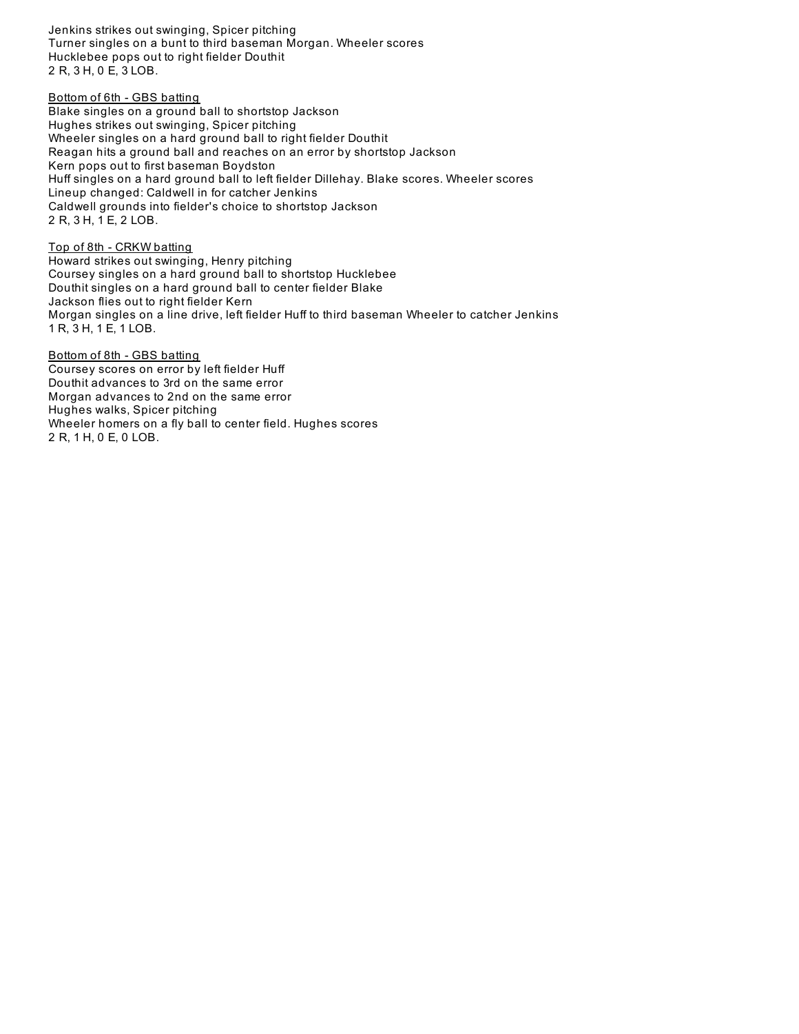Jenkins strikes out swinging, Spicer pitching Turner singles on a bunt to third baseman Morgan. Wheeler scores Hucklebee pops out to right fielder Douthit 2 R, 3 H, 0 E, 3 LOB.

#### Bottom of 6th - GBS batting

Blake singles on a ground ball to shortstop Jackson Hughes strikes out swinging, Spicer pitching Wheeler singles on a hard ground ball to right fielder Douthit Reagan hits a ground ball and reaches on an error by shortstop Jackson Kern pops out to first baseman Boydston Huff singles on a hard ground ball to left fielder Dillehay. Blake scores. Wheeler scores Lineup changed: Caldwell in for catcher Jenkins Caldwell grounds into fielder's choice to shortstop Jackson 2 R, 3 H, 1 E, 2 LOB.

Top of 8th - CRKW batting Howard strikes out swinging, Henry pitching Coursey singles on a hard ground ball to shortstop Hucklebee Douthit singles on a hard ground ball to center fielder Blake Jackson flies out to right fielder Kern Morgan singles on a line drive, left fielder Huff to third baseman Wheeler to catcher Jenkins 1 R, 3 H, 1 E, 1 LOB.

Bottom of 8th - GBS batting Coursey scores on error by left fielder Huff Douthit advances to 3rd on the same error Morgan advances to 2nd on the same error Hughes walks, Spicer pitching Wheeler homers on a fly ball to center field. Hughes scores 2 R, 1 H, 0 E, 0 LOB.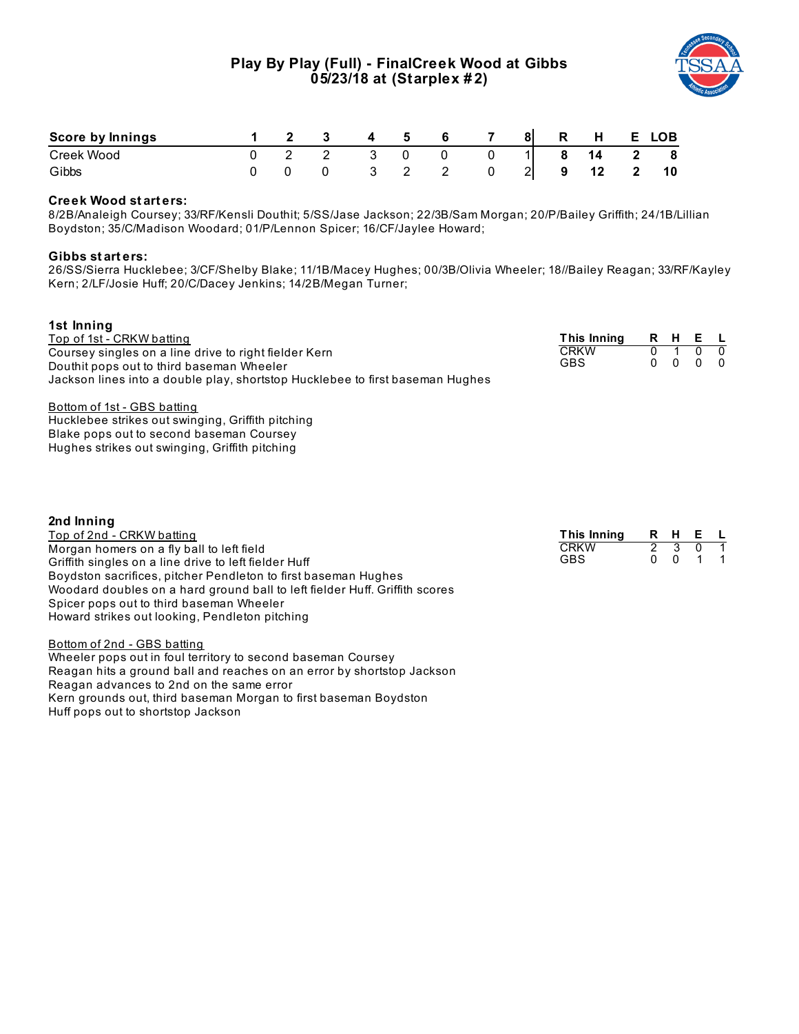# **Play By Play (Full) - FinalCreek Wood at Gibbs 05/23/18 at (Starplex # 2)**



GBS 0 0 1 1

| Score by Innings |  |  |  | 81 | $\mathbf R$ | <b>H</b> | E                       | LOB |
|------------------|--|--|--|----|-------------|----------|-------------------------|-----|
| Creek Wood       |  |  |  |    | 8           | 14       | $\overline{\mathbf{2}}$ | 8   |
| Gibbs            |  |  |  |    | 9           |          |                         | 10  |

## **Creek Wood st art ers:**

8/2B/Analeigh Coursey; 33/RF/Kensli Douthit; 5/SS/Jase Jackson; 22/3B/Sam Morgan; 20/P/Bailey Griffith; 24/1B/Lillian Boydston; 35/C/Madison Woodard; 01/P/Lennon Spicer; 16/CF/Jaylee Howard;

#### **Gibbs st art ers:**

26/SS/Sierra Hucklebee; 3/CF/Shelby Blake; 11/1B/Macey Hughes; 00/3B/Olivia Wheeler; 18//Bailey Reagan; 33/RF/Kayley Kern; 2/LF/Josie Huff; 20/C/Dacey Jenkins; 14/2B/Megan Turner;

| 1st Inning                                                                    |             |               |          |              |     |
|-------------------------------------------------------------------------------|-------------|---------------|----------|--------------|-----|
| Top of 1st - CRKW batting                                                     | This Inning | R             | H        | Е            |     |
| Coursey singles on a line drive to right fielder Kern                         | <b>CRKW</b> | 0             |          | 0            |     |
| Douthit pops out to third baseman Wheeler                                     | <b>GBS</b>  | <sup>0</sup>  | $\Omega$ | $\mathbf{0}$ | - 0 |
| Jackson lines into a double play, shortstop Hucklebee to first baseman Hughes |             |               |          |              |     |
| Bottom of 1st - GBS batting                                                   |             |               |          |              |     |
| Hucklebee strikes out swinging, Griffith pitching                             |             |               |          |              |     |
| Blake pops out to second baseman Coursey                                      |             |               |          |              |     |
| Hughes strikes out swinging, Griffith pitching                                |             |               |          |              |     |
| 2nd Inning                                                                    |             |               |          |              |     |
| Top of 2nd - CRKW batting                                                     | This Inning | R             | H.       | Е            |     |
| Morgan homers on a fly ball to left field                                     | <b>CRKW</b> | $\mathcal{P}$ | 3        |              |     |

| TOD OF ZIIG - GRAVY DAILING                                                 |
|-----------------------------------------------------------------------------|
| Morgan homers on a fly ball to left field                                   |
| Griffith singles on a line drive to left fielder Huff                       |
| Boydston sacrifices, pitcher Pendleton to first baseman Hughes              |
| Woodard doubles on a hard ground ball to left fielder Huff. Griffith scores |
| Spicer pops out to third baseman Wheeler                                    |
| Howard strikes out looking, Pendleton pitching                              |
|                                                                             |

Bottom of 2nd - GBS batting

Wheeler pops out in foul territory to second baseman Coursey Reagan hits a ground ball and reaches on an error by shortstop Jackson Reagan advances to 2nd on the same error Kern grounds out, third baseman Morgan to first baseman Boydston Huff pops out to shortstop Jackson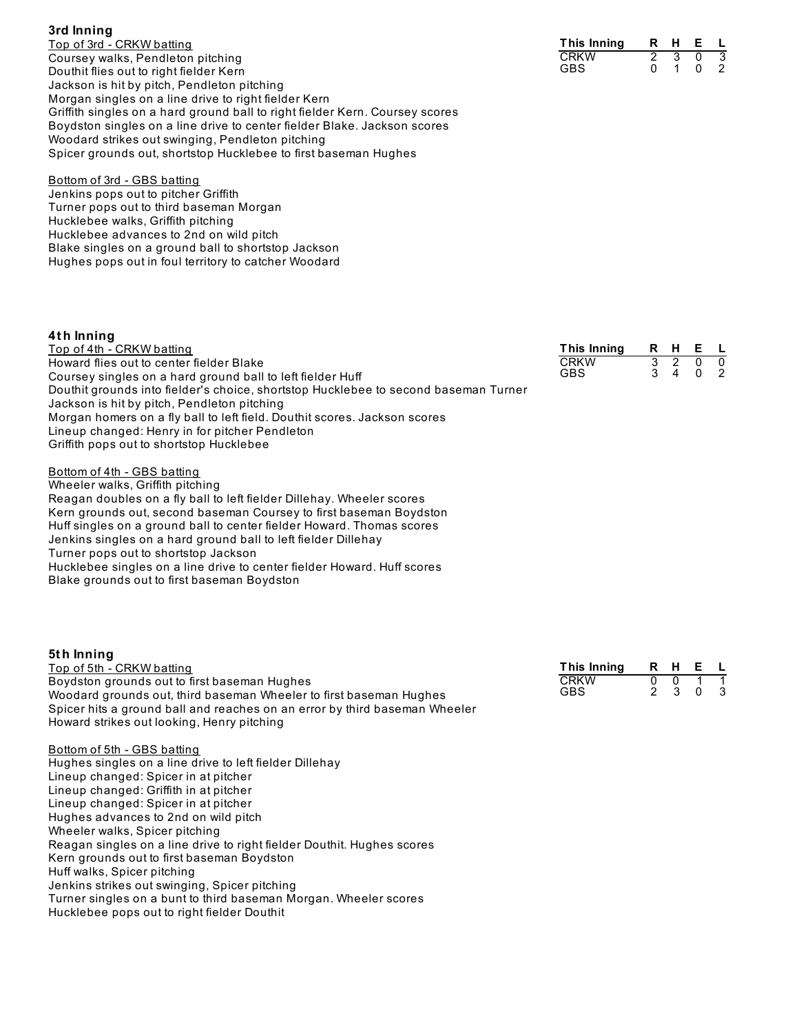| 3rd Inning                              |  |
|-----------------------------------------|--|
| Top of 3rd - CRKW batting               |  |
| Coursey walks, Pendleton pitching       |  |
| Douthit flies out to right fielder Kern |  |

| This Innina | н | E |  |
|-------------|---|---|--|
| CRKW        |   |   |  |
| GBS         |   |   |  |

Jackson is hit by pitch, Pendleton pitching Morgan singles on a line drive to right fielder Kern Griffith singles on a hard ground ball to right fielder Kern. Coursey scores Boydston singles on a line drive to center fielder Blake. Jackson scores Woodard strikes out swinging, Pendleton pitching Spicer grounds out, shortstop Hucklebee to first baseman Hughes

Bottom of 3rd - GBS batting Jenkins pops out to pitcher Griffith Turner pops out to third baseman Morgan Hucklebee walks, Griffith pitching Hucklebee advances to 2nd on wild pitch Blake singles on a ground ball to shortstop Jackson Hughes pops out in foul territory to catcher Woodard

Howard strikes out looking, Henry pitching

Kern grounds out to first baseman Boydston

Jenkins strikes out swinging, Spicer pitching

Hucklebee pops out to right fielder Douthit

Lineup changed: Spicer in at pitcher Lineup changed: Griffith in at pitcher Lineup changed: Spicer in at pitcher Hughes advances to 2nd on wild pitch Wheeler walks, Spicer pitching

Hughes singles on a line drive to left fielder Dillehay

Reagan singles on a line drive to right fielder Douthit. Hughes scores

Turner singles on a bunt to third baseman Morgan. Wheeler scores

Bottom of 5th - GBS batting

Huff walks, Spicer pitching

**3rd Inning**

| 4th Inning                                                                                                                                                                                                                                                                                                                                                                                                                                                                                                                  |                                                 |                     |                          |                                |                     |
|-----------------------------------------------------------------------------------------------------------------------------------------------------------------------------------------------------------------------------------------------------------------------------------------------------------------------------------------------------------------------------------------------------------------------------------------------------------------------------------------------------------------------------|-------------------------------------------------|---------------------|--------------------------|--------------------------------|---------------------|
| Top of 4th - CRKW batting<br>Howard flies out to center fielder Blake<br>Coursey singles on a hard ground ball to left fielder Huff<br>Douthit grounds into fielder's choice, shortstop Hucklebee to second baseman Turner<br>Jackson is hit by pitch, Pendleton pitching<br>Morgan homers on a fly ball to left field. Douthit scores. Jackson scores<br>Lineup changed: Henry in for pitcher Pendleton<br>Griffith pops out to shortstop Hucklebee                                                                        | This Inning<br><b>CRKW</b><br><b>GBS</b>        | R<br>3<br>3         | н<br>$\overline{2}$<br>4 | E L<br>$\mathbf 0$<br>$\Omega$ | $\overline{0}$<br>2 |
| Bottom of 4th - GBS batting<br>Wheeler walks, Griffith pitching<br>Reagan doubles on a fly ball to left fielder Dillehay. Wheeler scores<br>Kern grounds out, second baseman Coursey to first baseman Boydston<br>Huff singles on a ground ball to center fielder Howard. Thomas scores<br>Jenkins singles on a hard ground ball to left fielder Dillehay<br>Turner pops out to shortstop Jackson<br>Hucklebee singles on a line drive to center fielder Howard. Huff scores<br>Blake grounds out to first baseman Boydston |                                                 |                     |                          |                                |                     |
| 5th Inning<br><u>Top of 5th - CRKW batting</u><br>Boydston grounds out to first baseman Hughes<br>Woodard grounds out, third baseman Wheeler to first baseman Hughes<br>Spicer hits a ground ball and reaches on an error by third baseman Wheeler                                                                                                                                                                                                                                                                          | <b>This Inning</b><br><b>CRKW</b><br><b>GBS</b> | 0<br>$\overline{2}$ | R H<br>0<br>3            | E L<br>$\mathbf{0}$            | 3                   |